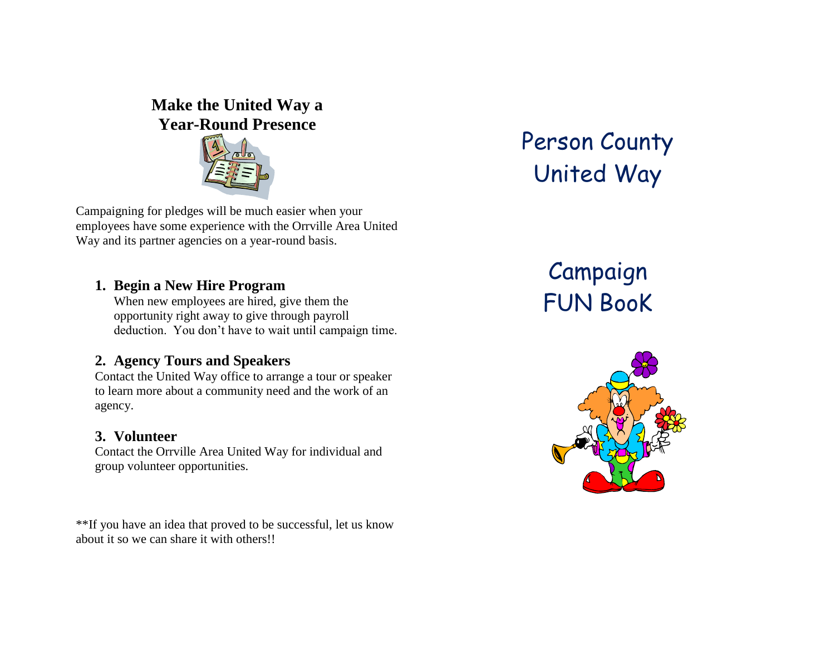## **Make the United Way a Year-Round Presence**



Campaigning for pledges will be much easier when your employees have some experience with the Orrville Area United Way and its partner agencies on a year-round basis.

#### **1. Begin a New Hire Program**

When new employees are hired, give them the opportunity right away to give through payroll deduction. You don't have to wait until campaign time.

#### **2. Agency Tours and Speakers**

Contact the United Way office to arrange a tour or speaker to learn more about a community need and the work of an agency.

#### **3. Volunteer**

Contact the Orrville Area United Way for individual and group volunteer opportunities.

\*\*If you have an idea that proved to be successful, let us know about it so we can share it with others!!

## Person County United Way

# Campaign FUN BooK

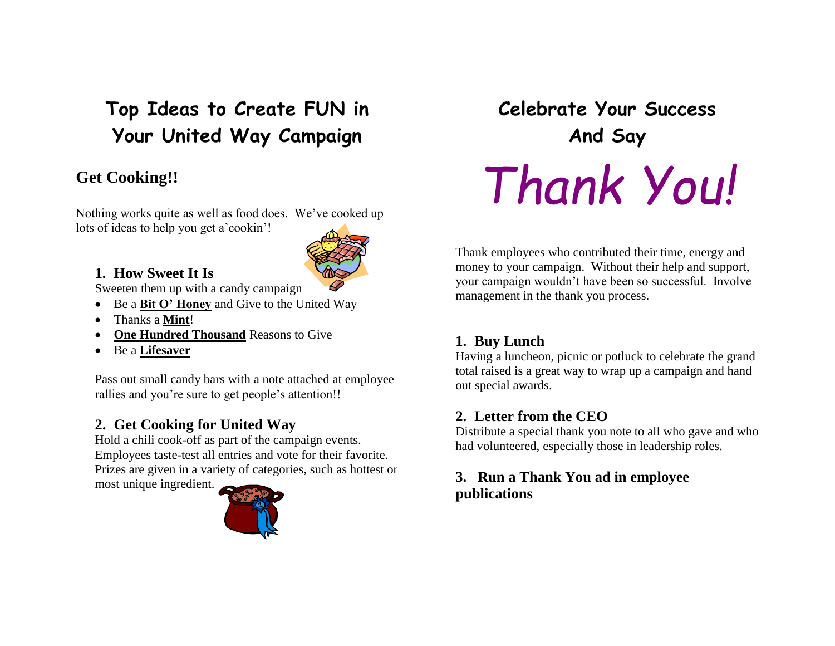## **Top Ideas to Create FUN in Your United Way Campaign**

## **Get Cooking!!**

Nothing works quite as well as food does. We've cooked up lots of ideas to help you get a'cookin'!

## **1. How Sweet It Is**

Sweeten them up with a candy campaign

- Be a **Bit O' Honey** and Give to the United Way
- Thanks a **Mint**!
- **One Hundred Thousand** Reasons to Give
- Be a **Lifesaver**

Pass out small candy bars with a note attached at employee rallies and you're sure to get people's attention!!

## **2. Get Cooking for United Way**

Hold a chili cook-off as part of the campaign events. Employees taste-test all entries and vote for their favorite. Prizes are given in a variety of categories, such as hottest or most unique ingredient.



**Celebrate Your Success And Say** *Thank You!*

Thank employees who contributed their time, energy and money to your campaign. Without their help and support, your campaign wouldn't have been so successful. Involve management in the thank you process.

## **1. Buy Lunch**

Having a luncheon, picnic or potluck to celebrate the grand total raised is a great way to wrap up a campaign and hand out special awards.

#### **2. Letter from the CEO**

Distribute a special thank you note to all who gave and who had volunteered, especially those in leadership roles.

#### **3. Run a Thank You ad in employee publications**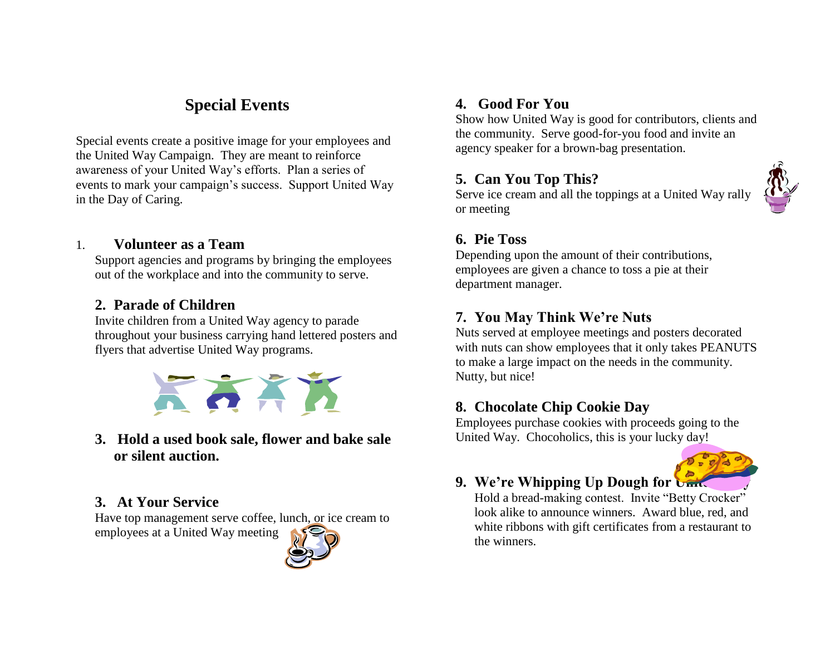## **Special Events**

Special events create a positive image for your employees and the United Way Campaign. They are meant to reinforce awareness of your United Way's efforts. Plan a series of events to mark your campaign's success. Support United Way in the Day of Caring.

#### 1. **Volunteer as a Team**

Support agencies and programs by bringing the employees out of the workplace and into the community to serve.

#### **2. Parade of Children**

Invite children from a United Way agency to parade throughout your business carrying hand lettered posters and flyers that advertise United Way programs.



**3. Hold a used book sale, flower and bake sale or silent auction.**

#### **3. At Your Service**

Have top management serve coffee, lunch, or ice cream to employees at a United Way meeting



#### **4. Good For You**

Show how United Way is good for contributors, clients and the community. Serve good-for-you food and invite an agency speaker for a brown-bag presentation.

#### **5. Can You Top This?**

Serve ice cream and all the toppings at a United Way rally or meeting



#### **6. Pie Toss**

Depending upon the amount of their contributions, employees are given a chance to toss a pie at their department manager.

#### **7. You May Think We're Nuts**

Nuts served at employee meetings and posters decorated with nuts can show employees that it only takes PEANUTS to make a large impact on the needs in the community. Nutty, but nice!

#### **8. Chocolate Chip Cookie Day**

Employees purchase cookies with proceeds going to the United Way. Chocoholics, this is your lucky day!



#### **9. We're Whipping Up Dough for United Way**

Hold a bread-making contest. Invite "Betty Crocker" look alike to announce winners. Award blue, red, and white ribbons with gift certificates from a restaurant to the winners.